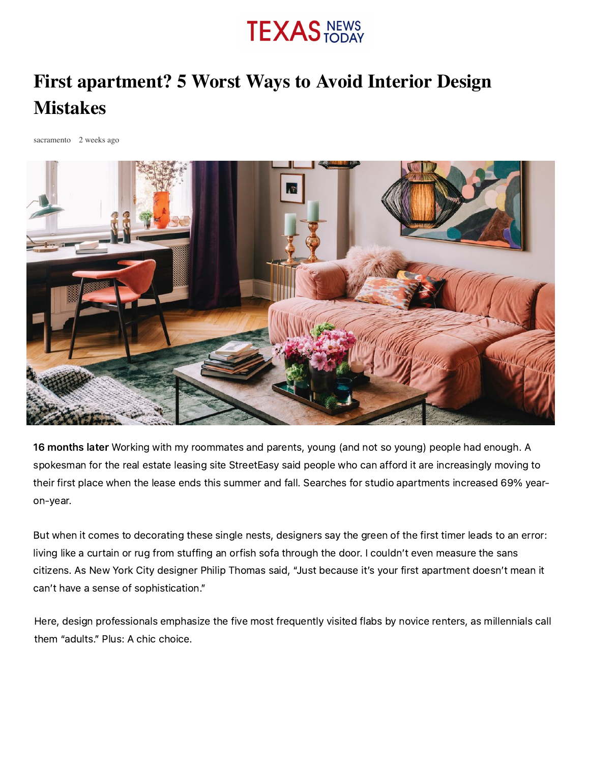# **TEXAS NEWS**

# **First apartment? 5 Worst Ways to Avoid Interior Design Mistakes**

[sacramento](https://texasnewstoday.com/author/sacramento/) 2 weeks ago



16 months later Working with my roommates and parents, young (and not so young) people had enough. A spokesman for the real estate leasing site StreetEasy said people who can afford it are increasingly moving to their first place when the lease ends this summer and fall. Searches for studio apartments increased 69% yearon-year.

But when it comes to decorating these single nests, designers say the green of the first timer leads to an error: living like a curtain or rug from stuffing an orfish sofa through the door. I couldn't even measure the sans citizens. As New York City designer Philip Thomas said, "Just because it's your first apartment doesn't mean it can't have a sense of sophistication."

Here, design professionals emphasize the five most frequently visited flabs by novice renters, as millennials call them "adults." Plus: A chic choice.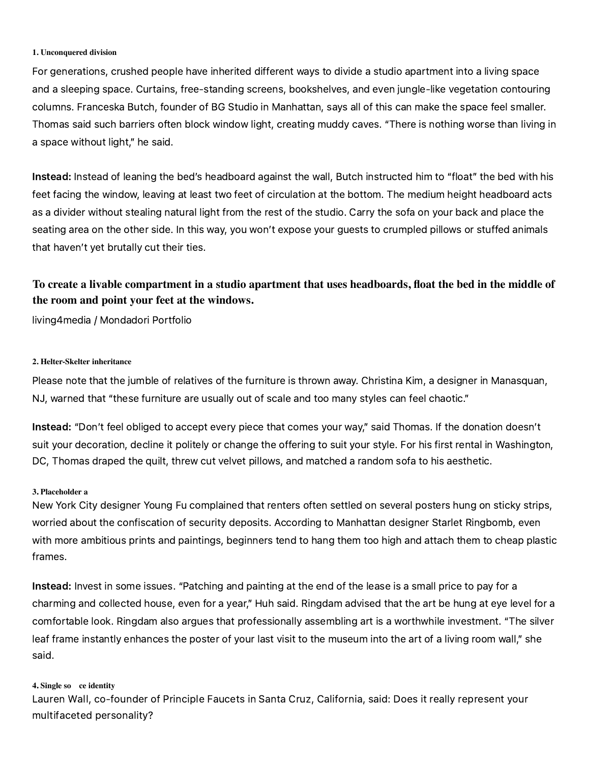#### **1. Unconquered division**

For generations, crushed people have inherited different ways to divide a studio apartment into a living space and a sleeping space. Curtains, free-standing screens, bookshelves, and even jungle-like vegetation contouring columns. Franceska Butch, founder of BG Studio in Manhattan, says all of this can make the space feel smaller. Thomas said such barriers often block window light, creating muddy caves. "There is nothing worse than living in a space without light," he said.

Instead: Instead of leaning the bed's headboard against the wall, Butch instructed him to "float" the bed with his feet facing the window, leaving at least two feet of circulation at the bottom. The medium height headboard acts as a divider without stealing natural light from the rest of the studio. Carry the sofa on your back and place the seating area on the other side. In this way, you won't expose your guests to crumpled pillows or stuffed animals that haven't yet brutally cut their ties.

## **To create a livable compartment in a studio apartment that uses headboards, float the bed in the middle of the room and point your feet at the windows.**

living4media / Mondadori Portfolio

#### **2. Helter-Skelter inheritance**

Please note that the jumble of relatives of the furniture is thrown away. Christina Kim, a designer in Manasquan, NJ, warned that "these furniture are usually out of scale and too many styles can feel chaotic."

Instead: "Don't feel obliged to accept every piece that comes your way," said Thomas. If the donation doesn't suit your decoration, decline it politely or change the offering to suit your style. For his first rental in Washington, DC, Thomas draped the quilt, threw cut velvet pillows, and matched a random sofa to his aesthetic.

#### **3. Placeholder a**

New York City designer Young Fu complained that renters often settled on several posters hung on sticky strips, worried about the confiscation of security deposits. According to Manhattan designer Starlet Ringbomb, even with more ambitious prints and paintings, beginners tend to hang them too high and attach them to cheap plastic frames.

Instead: Invest in some issues. "Patching and painting at the end of the lease is a small price to pay for a charming and collected house, even for a year," Huh said. Ringdam advised that the art be hung at eye level for a comfortable look. Ringdam also argues that professionally assembling art is a worthwhile investment. "The silver leaf frame instantly enhances the poster of your last visit to the museum into the art of a living room wall," she said.

#### **4. Single so ce identity**

Lauren Wall, co-founder of Principle Faucets in Santa Cruz, California, said: Does it really represent your multifaceted personality?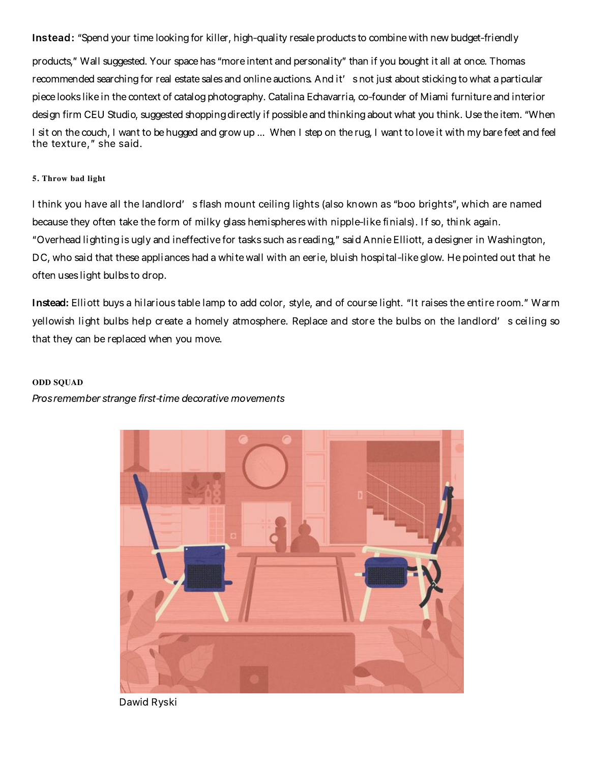Instead: "Spend your time looking for killer, high-quality resale products to combine with new budget-friendly

products," Wall suggested. Your spacehas"moreintent and personality" than if you bought it all at once. Thomas recommended searching for real estate sales and online auctions. And it' snot just about sticking to what a particular piecelookslikein thecontext of catalogphotography. Catalina Echavarria, co-founder of Miami furnitureand interior design firm CEU Studio, suggested shopping directly if possible and thinking about what you think. Use the item. "When I sit on the couch, I want to be hugged and grow up ... When I step on the rug, I want to love it with my bare feet and feel the texture," she said.

#### **5. Throw bad light**

I think you have all the landlord' s flash mount ceiling lights (also known as "boo brights", which are named because they often take the form of milky glass hemispheres with nipple-like finials). If so, think again. "Overhead lightingisugly and ineffective for tasks such as reading," said AnnieElliott, a designer in Washington, DC, who said that these appliances had a white wall with an eerie, bluish hospital-like glow. He pointed out that he often uses light bulbs to drop.

Instead: Elliott buys a hilarious table lamp to add color, style, and of course light. "It raises the entire room." Warm yellowish light bulbs help create a homely atmosphere. Replace and store the bulbs on the landlord' s ceiling so that they can be replaced when you move.

#### **ODD SQUAD**

Prosremember strange first-time decorative movements



Dawid Ryski